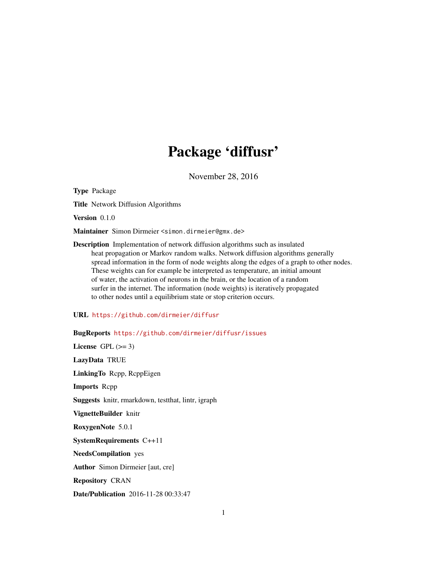## Package 'diffusr'

November 28, 2016

Type Package

Title Network Diffusion Algorithms

Version 0.1.0

Maintainer Simon Dirmeier <simon.dirmeier@gmx.de>

Description Implementation of network diffusion algorithms such as insulated heat propagation or Markov random walks. Network diffusion algorithms generally spread information in the form of node weights along the edges of a graph to other nodes. These weights can for example be interpreted as temperature, an initial amount of water, the activation of neurons in the brain, or the location of a random surfer in the internet. The information (node weights) is iteratively propagated to other nodes until a equilibrium state or stop criterion occurs.

#### URL <https://github.com/dirmeier/diffusr>

#### BugReports <https://github.com/dirmeier/diffusr/issues>

License GPL  $(>= 3)$ LazyData TRUE LinkingTo Rcpp, RcppEigen Imports Rcpp Suggests knitr, rmarkdown, testthat, lintr, igraph VignetteBuilder knitr RoxygenNote 5.0.1 SystemRequirements C++11 NeedsCompilation yes Author Simon Dirmeier [aut, cre] Repository CRAN Date/Publication 2016-11-28 00:33:47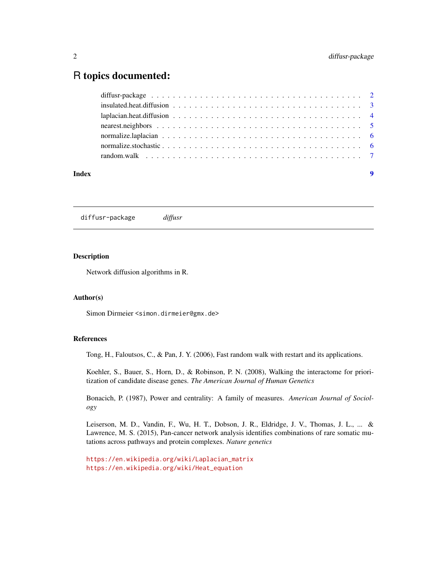### <span id="page-1-0"></span>R topics documented:

| Index | $\overline{\mathbf{9}}$ |  |
|-------|-------------------------|--|
|       |                         |  |
|       |                         |  |
|       |                         |  |
|       |                         |  |
|       |                         |  |
|       |                         |  |
|       |                         |  |

diffusr-package *diffusr*

#### Description

Network diffusion algorithms in R.

#### Author(s)

Simon Dirmeier <simon.dirmeier@gmx.de>

#### References

Tong, H., Faloutsos, C., & Pan, J. Y. (2006), Fast random walk with restart and its applications.

Koehler, S., Bauer, S., Horn, D., & Robinson, P. N. (2008), Walking the interactome for prioritization of candidate disease genes. *The American Journal of Human Genetics*

Bonacich, P. (1987), Power and centrality: A family of measures. *American Journal of Sociology*

Leiserson, M. D., Vandin, F., Wu, H. T., Dobson, J. R., Eldridge, J. V., Thomas, J. L., ... & Lawrence, M. S. (2015), Pan-cancer network analysis identifies combinations of rare somatic mutations across pathways and protein complexes. *Nature genetics*

```
https://en.wikipedia.org/wiki/Laplacian_matrix
https://en.wikipedia.org/wiki/Heat_equation
```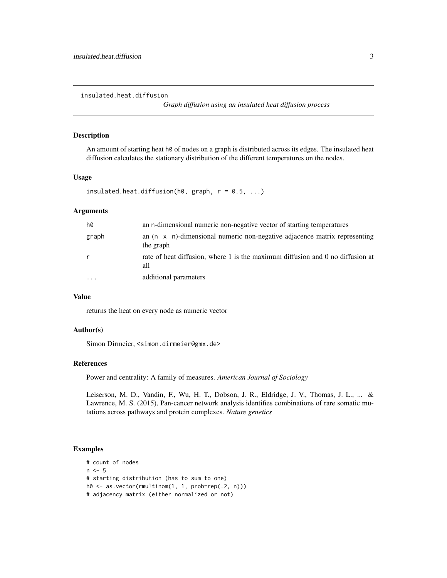<span id="page-2-0"></span>insulated.heat.diffusion

*Graph diffusion using an insulated heat diffusion process*

#### Description

An amount of starting heat h0 of nodes on a graph is distributed across its edges. The insulated heat diffusion calculates the stationary distribution of the different temperatures on the nodes.

#### Usage

```
insulated.heat.diffusion(h\emptyset, graph, r = \emptyset.5, ...)
```
#### Arguments

| h0       | an n-dimensional numeric non-negative vector of starting temperatures                          |
|----------|------------------------------------------------------------------------------------------------|
| graph    | an $(n \times n)$ -dimensional numeric non-negative adjacence matrix representing<br>the graph |
|          | rate of heat diffusion, where 1 is the maximum diffusion and 0 no diffusion at<br>all          |
| $\cdots$ | additional parameters                                                                          |

#### Value

returns the heat on every node as numeric vector

#### Author(s)

Simon Dirmeier, <simon.dirmeier@gmx.de>

#### References

Power and centrality: A family of measures. *American Journal of Sociology*

Leiserson, M. D., Vandin, F., Wu, H. T., Dobson, J. R., Eldridge, J. V., Thomas, J. L., ... & Lawrence, M. S. (2015), Pan-cancer network analysis identifies combinations of rare somatic mutations across pathways and protein complexes. *Nature genetics*

```
# count of nodes
n < -5# starting distribution (has to sum to one)
h0 \leq -as \cdot vector(rmultinom(1, 1, prob = rep(.2, n)))# adjacency matrix (either normalized or not)
```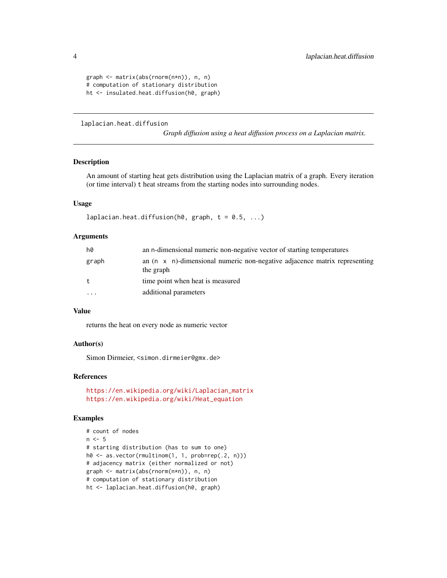```
graph <- matrix(abs(rnorm(n*n)), n, n)
# computation of stationary distribution
ht <- insulated.heat.diffusion(h0, graph)
```
laplacian.heat.diffusion

*Graph diffusion using a heat diffusion process on a Laplacian matrix.*

#### Description

An amount of starting heat gets distribution using the Laplacian matrix of a graph. Every iteration (or time interval) t heat streams from the starting nodes into surrounding nodes.

#### Usage

```
laplacian.heat.diffusion(h0, graph, t = 0.5, ...)
```
#### Arguments

| h0        | an n-dimensional numeric non-negative vector of starting temperatures                          |  |
|-----------|------------------------------------------------------------------------------------------------|--|
| graph     | an $(n \times n)$ -dimensional numeric non-negative adjacence matrix representing<br>the graph |  |
| t         | time point when heat is measured                                                               |  |
| $\ddotsc$ | additional parameters                                                                          |  |

#### Value

returns the heat on every node as numeric vector

#### Author(s)

Simon Dirmeier, <simon.dirmeier@gmx.de>

#### References

```
https://en.wikipedia.org/wiki/Laplacian_matrix
https://en.wikipedia.org/wiki/Heat_equation
```

```
# count of nodes
n < -5# starting distribution (has to sum to one)
h0 <- as.vector(rmultinom(1, 1, prob=rep(.2, n)))
# adjacency matrix (either normalized or not)
graph <- matrix(abs(rnorm(n*n)), n, n)
# computation of stationary distribution
ht <- laplacian.heat.diffusion(h0, graph)
```
<span id="page-3-0"></span>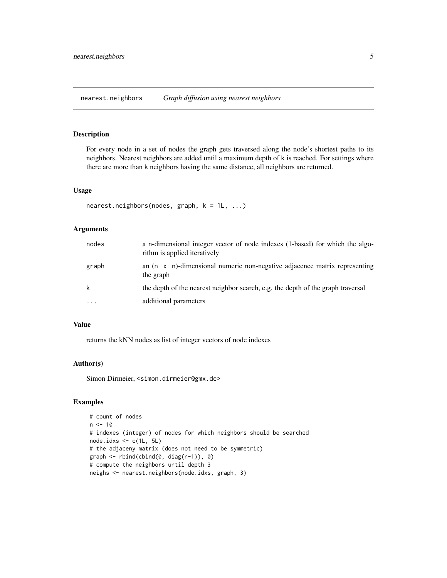<span id="page-4-0"></span>nearest.neighbors *Graph diffusion using nearest neighbors*

#### Description

For every node in a set of nodes the graph gets traversed along the node's shortest paths to its neighbors. Nearest neighbors are added until a maximum depth of k is reached. For settings where there are more than k neighbors having the same distance, all neighbors are returned.

#### Usage

```
nearest.neighbors(nodes, graph, k = 1L, ...)
```
#### Arguments

| nodes    | a n-dimensional integer vector of node indexes (1-based) for which the algo-<br>rithm is applied iteratively |
|----------|--------------------------------------------------------------------------------------------------------------|
| graph    | an $(n \times n)$ -dimensional numeric non-negative adjacence matrix representing<br>the graph               |
| k        | the depth of the nearest neighbor search, e.g. the depth of the graph traversal                              |
| $\cdots$ | additional parameters                                                                                        |

#### Value

returns the kNN nodes as list of integer vectors of node indexes

#### Author(s)

Simon Dirmeier, <simon.dirmeier@gmx.de>

```
# count of nodes
n < -10# indexes (integer) of nodes for which neighbors should be searched
node.idxs \leq c(1L, 5L)
# the adjaceny matrix (does not need to be symmetric)
graph \leq -rbind(cbind(0, diag(n-1)), 0)# compute the neighbors until depth 3
neighs <- nearest.neighbors(node.idxs, graph, 3)
```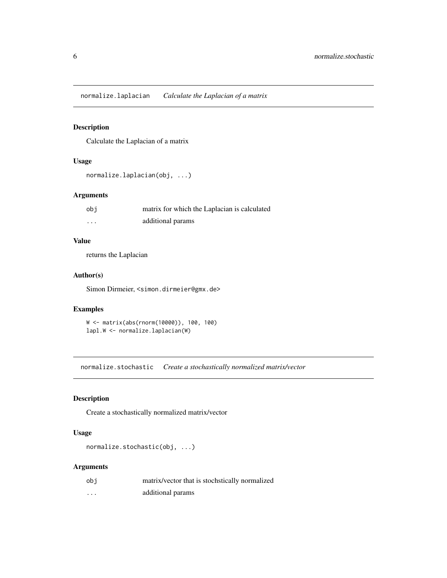<span id="page-5-0"></span>normalize.laplacian *Calculate the Laplacian of a matrix*

#### Description

Calculate the Laplacian of a matrix

#### Usage

```
normalize.laplacian(obj, ...)
```
#### Arguments

| obi      | matrix for which the Laplacian is calculated |
|----------|----------------------------------------------|
| $\cdots$ | additional params                            |

#### Value

returns the Laplacian

#### Author(s)

Simon Dirmeier, <simon.dirmeier@gmx.de>

#### Examples

```
W <- matrix(abs(rnorm(10000)), 100, 100)
lapl.W <- normalize.laplacian(W)
```
normalize.stochastic *Create a stochastically normalized matrix/vector*

#### Description

Create a stochastically normalized matrix/vector

#### Usage

```
normalize.stochastic(obj, ...)
```
#### Arguments

| obi     | matrix/vector that is stochstically normalized |
|---------|------------------------------------------------|
| $\cdot$ | additional params                              |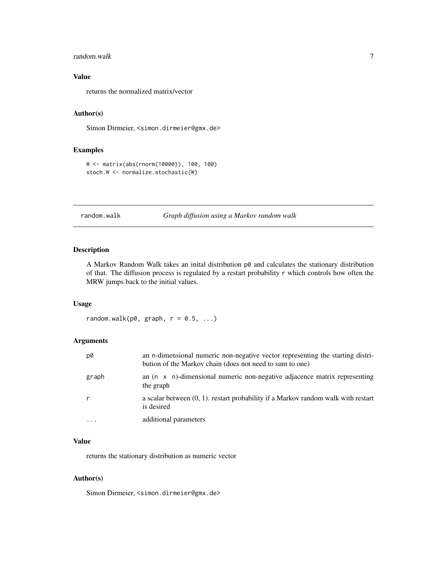#### <span id="page-6-0"></span>random.walk 7

#### Value

returns the normalized matrix/vector

#### Author(s)

Simon Dirmeier, <simon.dirmeier@gmx.de>

#### Examples

```
W <- matrix(abs(rnorm(10000)), 100, 100)
stoch.W <- normalize.stochastic(W)
```
random.walk *Graph diffusion using a Markov random walk*

#### Description

A Markov Random Walk takes an inital distribution p0 and calculates the stationary distribution of that. The diffusion process is regulated by a restart probability r which controls how often the MRW jumps back to the initial values.

#### Usage

random.walk(p $\emptyset$ , graph,  $r = \emptyset.5, ...$ )

#### Arguments

| p0    | an n-dimensional numeric non-negative vector representing the starting distri-<br>bution of the Markov chain (does not need to sum to one) |
|-------|--------------------------------------------------------------------------------------------------------------------------------------------|
| graph | an $(n \times n)$ -dimensional numeric non-negative adjacence matrix representing<br>the graph                                             |
|       | a scalar between $(0, 1)$ , restart probability if a Markov random walk with restart<br>is desired                                         |
| .     | additional parameters                                                                                                                      |

#### Value

returns the stationary distribution as numeric vector

#### Author(s)

Simon Dirmeier, <simon.dirmeier@gmx.de>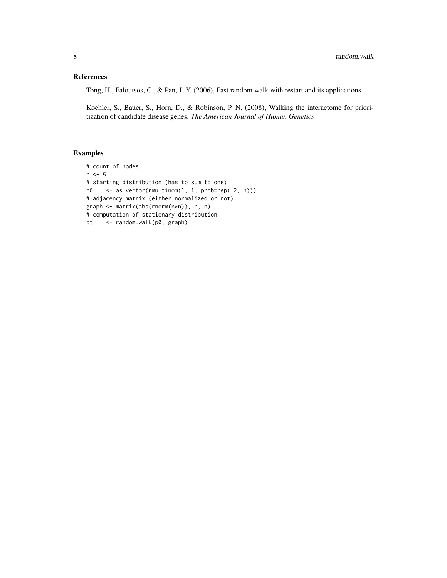#### References

Tong, H., Faloutsos, C., & Pan, J. Y. (2006), Fast random walk with restart and its applications.

Koehler, S., Bauer, S., Horn, D., & Robinson, P. N. (2008), Walking the interactome for prioritization of candidate disease genes. *The American Journal of Human Genetics*

```
# count of nodes
n \le -5# starting distribution (has to sum to one)
p0 <- as.vector(rmultinom(1, 1, prob=rep(.2, n)))
# adjacency matrix (either normalized or not)
graph <- matrix(abs(rnorm(n*n)), n, n)
# computation of stationary distribution
pt <- random.walk(p0, graph)
```